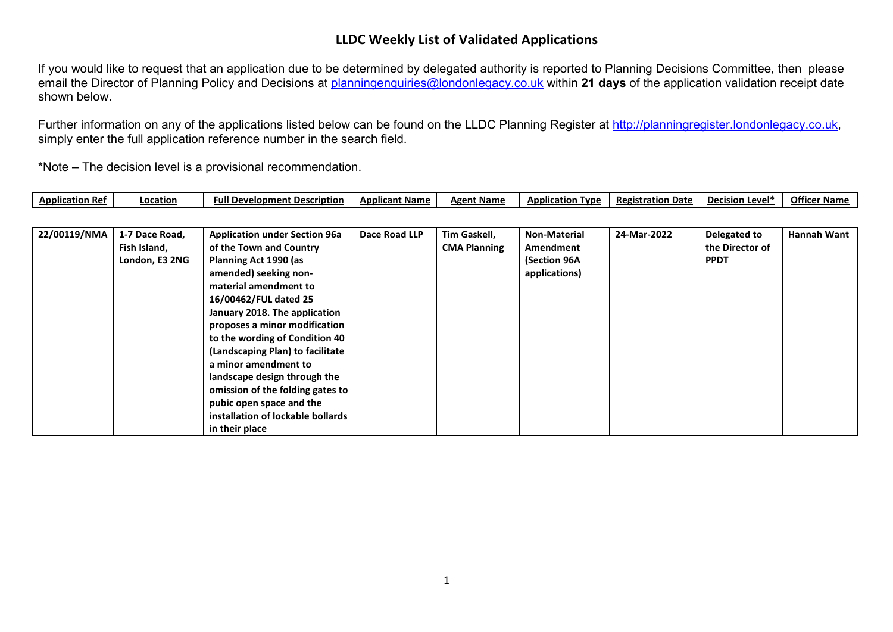If you would like to request that an application due to be determined by delegated authority is reported to Planning Decisions Committee, then please email the Director of Planning Policy and Decisions at [planningenquiries@londonlegacy.co.uk](mailto:planningenquiries@londonlegacy.co.uk) within **21 days** of the application validation receipt date shown below.

Further information on any of the applications listed below can be found on the LLDC Planning Register at [http://planningregister.londonlegacy.co.uk,](http://planningregister.londonlegacy.co.uk/) simply enter the full application reference number in the search field.

| Application<br>. Ret | าcation | Full Development Description | <b>Applicant Name</b> | <b>Name</b><br>Agent | ation .<br>Appli<br><b>Tvp</b> | <b>Registration</b><br>Date<br> | .∟Level<br>∴ De⊾<br>חו או | Offic<br>* Name<br>$\sim$ |
|----------------------|---------|------------------------------|-----------------------|----------------------|--------------------------------|---------------------------------|---------------------------|---------------------------|
|----------------------|---------|------------------------------|-----------------------|----------------------|--------------------------------|---------------------------------|---------------------------|---------------------------|

| 22/00119/NMA | 1-7 Dace Road,<br>Fish Island,<br>London, E3 2NG | <b>Application under Section 96a</b><br>of the Town and Country<br>Planning Act 1990 (as<br>amended) seeking non-<br>material amendment to<br>16/00462/FUL dated 25<br>January 2018. The application<br>proposes a minor modification<br>to the wording of Condition 40<br>(Landscaping Plan) to facilitate<br>a minor amendment to<br>landscape design through the<br>omission of the folding gates to<br>pubic open space and the<br>installation of lockable bollards | Dace Road LLP | Tim Gaskell,<br><b>CMA Planning</b> | <b>Non-Material</b><br>Amendment<br>(Section 96A<br>applications) | 24-Mar-2022 | Delegated to<br>the Director of<br><b>PPDT</b> | <b>Hannah Want</b> |
|--------------|--------------------------------------------------|--------------------------------------------------------------------------------------------------------------------------------------------------------------------------------------------------------------------------------------------------------------------------------------------------------------------------------------------------------------------------------------------------------------------------------------------------------------------------|---------------|-------------------------------------|-------------------------------------------------------------------|-------------|------------------------------------------------|--------------------|
|              |                                                  | in their place                                                                                                                                                                                                                                                                                                                                                                                                                                                           |               |                                     |                                                                   |             |                                                |                    |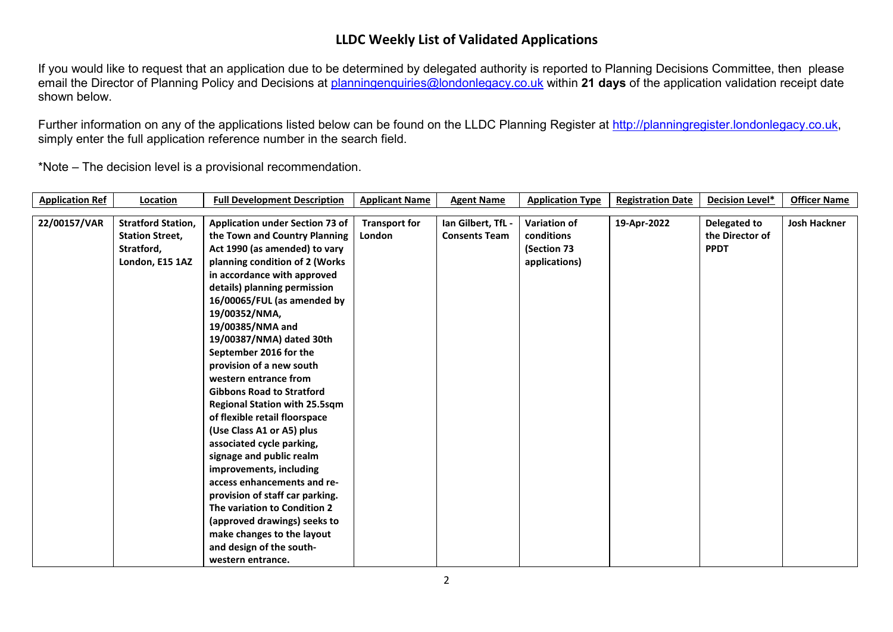If you would like to request that an application due to be determined by delegated authority is reported to Planning Decisions Committee, then please email the Director of Planning Policy and Decisions at [planningenquiries@londonlegacy.co.uk](mailto:planningenquiries@londonlegacy.co.uk) within **21 days** of the application validation receipt date shown below.

Further information on any of the applications listed below can be found on the LLDC Planning Register at [http://planningregister.londonlegacy.co.uk,](http://planningregister.londonlegacy.co.uk/) simply enter the full application reference number in the search field.

| <b>Application Ref</b> | Location                  | <b>Full Development Description</b>    | <b>Applicant Name</b> | <b>Agent Name</b>    | <b>Application Type</b> | <b>Registration Date</b> | Decision Level* | <b>Officer Name</b> |
|------------------------|---------------------------|----------------------------------------|-----------------------|----------------------|-------------------------|--------------------------|-----------------|---------------------|
|                        |                           |                                        |                       |                      |                         |                          |                 |                     |
| 22/00157/VAR           | <b>Stratford Station,</b> | <b>Application under Section 73 of</b> | <b>Transport for</b>  | Ian Gilbert, TfL -   | <b>Variation of</b>     | 19-Apr-2022              | Delegated to    | <b>Josh Hackner</b> |
|                        | <b>Station Street,</b>    | the Town and Country Planning          | London                | <b>Consents Team</b> | conditions              |                          | the Director of |                     |
|                        | Stratford,                | Act 1990 (as amended) to vary          |                       |                      | (Section 73             |                          | <b>PPDT</b>     |                     |
|                        | London, E15 1AZ           | planning condition of 2 (Works         |                       |                      | applications)           |                          |                 |                     |
|                        |                           | in accordance with approved            |                       |                      |                         |                          |                 |                     |
|                        |                           | details) planning permission           |                       |                      |                         |                          |                 |                     |
|                        |                           | 16/00065/FUL (as amended by            |                       |                      |                         |                          |                 |                     |
|                        |                           | 19/00352/NMA,                          |                       |                      |                         |                          |                 |                     |
|                        |                           | 19/00385/NMA and                       |                       |                      |                         |                          |                 |                     |
|                        |                           | 19/00387/NMA) dated 30th               |                       |                      |                         |                          |                 |                     |
|                        |                           | September 2016 for the                 |                       |                      |                         |                          |                 |                     |
|                        |                           | provision of a new south               |                       |                      |                         |                          |                 |                     |
|                        |                           | western entrance from                  |                       |                      |                         |                          |                 |                     |
|                        |                           | <b>Gibbons Road to Stratford</b>       |                       |                      |                         |                          |                 |                     |
|                        |                           | <b>Regional Station with 25.5sqm</b>   |                       |                      |                         |                          |                 |                     |
|                        |                           | of flexible retail floorspace          |                       |                      |                         |                          |                 |                     |
|                        |                           | (Use Class A1 or A5) plus              |                       |                      |                         |                          |                 |                     |
|                        |                           | associated cycle parking,              |                       |                      |                         |                          |                 |                     |
|                        |                           | signage and public realm               |                       |                      |                         |                          |                 |                     |
|                        |                           | improvements, including                |                       |                      |                         |                          |                 |                     |
|                        |                           | access enhancements and re-            |                       |                      |                         |                          |                 |                     |
|                        |                           | provision of staff car parking.        |                       |                      |                         |                          |                 |                     |
|                        |                           | The variation to Condition 2           |                       |                      |                         |                          |                 |                     |
|                        |                           | (approved drawings) seeks to           |                       |                      |                         |                          |                 |                     |
|                        |                           | make changes to the layout             |                       |                      |                         |                          |                 |                     |
|                        |                           | and design of the south-               |                       |                      |                         |                          |                 |                     |
|                        |                           | western entrance.                      |                       |                      |                         |                          |                 |                     |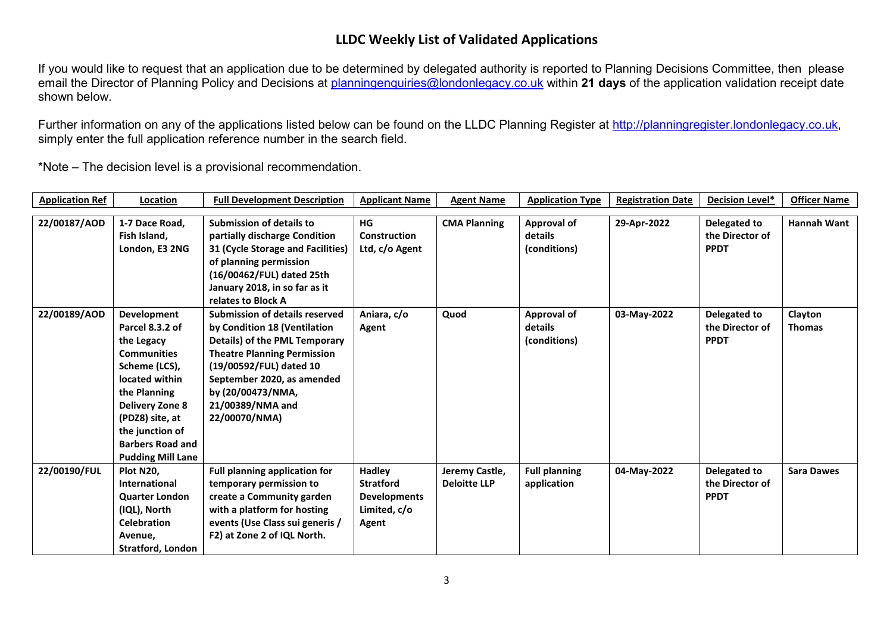If you would like to request that an application due to be determined by delegated authority is reported to Planning Decisions Committee, then please email the Director of Planning Policy and Decisions at [planningenquiries@londonlegacy.co.uk](mailto:planningenquiries@londonlegacy.co.uk) within **21 days** of the application validation receipt date shown below.

Further information on any of the applications listed below can be found on the LLDC Planning Register at [http://planningregister.londonlegacy.co.uk,](http://planningregister.londonlegacy.co.uk/) simply enter the full application reference number in the search field.

| <b>Application Ref</b> | Location                 | <b>Full Development Description</b>   | <b>Applicant Name</b> | <b>Agent Name</b>   | <b>Application Type</b> | <b>Registration Date</b> | Decision Level* | <b>Officer Name</b> |
|------------------------|--------------------------|---------------------------------------|-----------------------|---------------------|-------------------------|--------------------------|-----------------|---------------------|
|                        |                          |                                       |                       |                     |                         |                          |                 |                     |
| 22/00187/AOD           | 1-7 Dace Road,           | <b>Submission of details to</b>       | HG                    | <b>CMA Planning</b> | Approval of             | 29-Apr-2022              | Delegated to    | <b>Hannah Want</b>  |
|                        | Fish Island,             | partially discharge Condition         | <b>Construction</b>   |                     | details                 |                          | the Director of |                     |
|                        | London, E3 2NG           | 31 (Cycle Storage and Facilities)     | Ltd, c/o Agent        |                     | (conditions)            |                          | <b>PPDT</b>     |                     |
|                        |                          | of planning permission                |                       |                     |                         |                          |                 |                     |
|                        |                          | (16/00462/FUL) dated 25th             |                       |                     |                         |                          |                 |                     |
|                        |                          | January 2018, in so far as it         |                       |                     |                         |                          |                 |                     |
|                        |                          | relates to Block A                    |                       |                     |                         |                          |                 |                     |
| 22/00189/AOD           | Development              | <b>Submission of details reserved</b> | Aniara, c/o           | Quod                | <b>Approval of</b>      | 03-May-2022              | Delegated to    | Clayton             |
|                        | Parcel 8.3.2 of          | by Condition 18 (Ventilation          | Agent                 |                     | details                 |                          | the Director of | <b>Thomas</b>       |
|                        | the Legacy               | Details) of the PML Temporary         |                       |                     | (conditions)            |                          | <b>PPDT</b>     |                     |
|                        | <b>Communities</b>       | <b>Theatre Planning Permission</b>    |                       |                     |                         |                          |                 |                     |
|                        | Scheme (LCS),            | (19/00592/FUL) dated 10               |                       |                     |                         |                          |                 |                     |
|                        | located within           | September 2020, as amended            |                       |                     |                         |                          |                 |                     |
|                        | the Planning             | by (20/00473/NMA,                     |                       |                     |                         |                          |                 |                     |
|                        | <b>Delivery Zone 8</b>   | 21/00389/NMA and                      |                       |                     |                         |                          |                 |                     |
|                        | (PDZ8) site, at          | 22/00070/NMA)                         |                       |                     |                         |                          |                 |                     |
|                        | the junction of          |                                       |                       |                     |                         |                          |                 |                     |
|                        | <b>Barbers Road and</b>  |                                       |                       |                     |                         |                          |                 |                     |
|                        | <b>Pudding Mill Lane</b> |                                       |                       |                     |                         |                          |                 |                     |
| 22/00190/FUL           | Plot N20,                | <b>Full planning application for</b>  | <b>Hadley</b>         | Jeremy Castle,      | <b>Full planning</b>    | 04-May-2022              | Delegated to    | <b>Sara Dawes</b>   |
|                        | International            | temporary permission to               | <b>Stratford</b>      | <b>Deloitte LLP</b> | application             |                          | the Director of |                     |
|                        | <b>Quarter London</b>    | create a Community garden             | <b>Developments</b>   |                     |                         |                          | <b>PPDT</b>     |                     |
|                        | (IQL), North             | with a platform for hosting           | Limited, c/o          |                     |                         |                          |                 |                     |
|                        | <b>Celebration</b>       | events (Use Class sui generis /       | Agent                 |                     |                         |                          |                 |                     |
|                        | Avenue,                  | F2) at Zone 2 of IQL North.           |                       |                     |                         |                          |                 |                     |
|                        | <b>Stratford, London</b> |                                       |                       |                     |                         |                          |                 |                     |